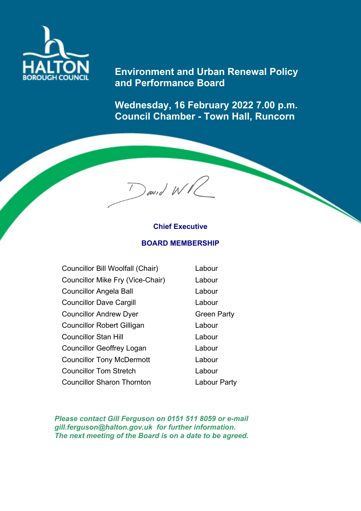

## **Environment and Urban Renewal Policy and Performance Board**

**Wednesday, 16 February 2022 7.00 p.m. Council Chamber - Town Hall, Runcorn**

## **Chief Executive BOARD MEMBERSHIP**

 $\int$ awid WVC

| Councillor Bill Woolfall (Chair)  | Labour             |
|-----------------------------------|--------------------|
| Councillor Mike Fry (Vice-Chair)  | Labour             |
| <b>Councillor Angela Ball</b>     | Labour             |
| <b>Councillor Dave Cargill</b>    | Labour             |
| <b>Councillor Andrew Dyer</b>     | <b>Green Party</b> |
| <b>Councillor Robert Gilligan</b> | Labour             |
| <b>Councillor Stan Hill</b>       | Labour             |
| <b>Councillor Geoffrey Logan</b>  | Labour             |
| <b>Councillor Tony McDermott</b>  | Labour             |
| <b>Councillor Tom Stretch</b>     | Labour             |
| <b>Councillor Sharon Thornton</b> | Labour Party       |

*Please contact Gill Ferguson on 0151 511 8059 or e-mail gill.ferguson@halton.gov.uk for further information. The next meeting of the Board is on a date to be agreed.*